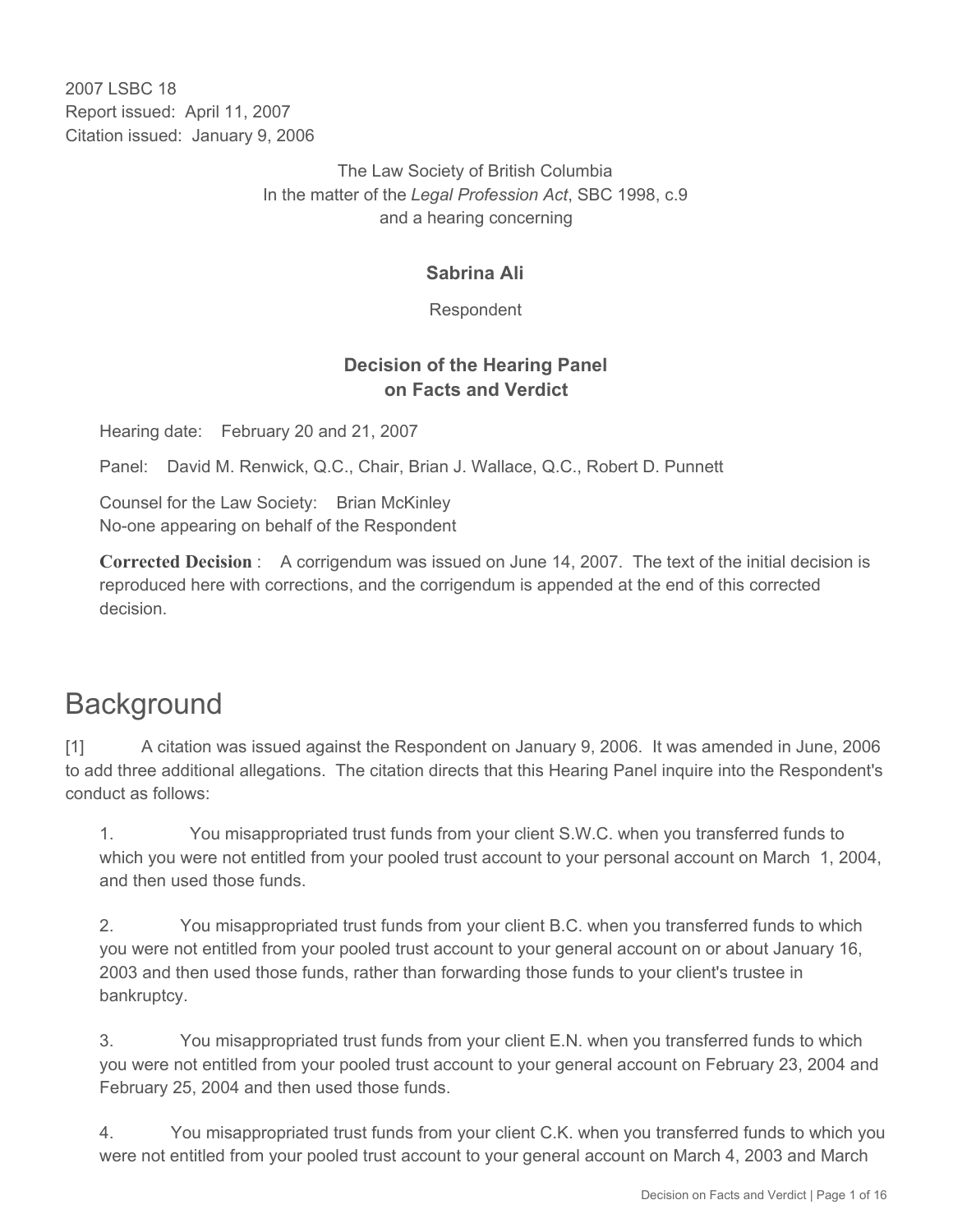2007 LSBC 18 Report issued: April 11, 2007 Citation issued: January 9, 2006

> The Law Society of British Columbia In the matter of the *Legal Profession Act*, SBC 1998, c.9 and a hearing concerning

### **Sabrina Ali**

Respondent

## **Decision of the Hearing Panel on Facts and Verdict**

Hearing date: February 20 and 21, 2007

Panel: David M. Renwick, Q.C., Chair, Brian J. Wallace, Q.C., Robert D. Punnett

Counsel for the Law Society: Brian McKinley No-one appearing on behalf of the Respondent

**Corrected Decision** : A corrigendum was issued on June 14, 2007. The text of the initial decision is reproduced here with corrections, and the corrigendum is appended at the end of this corrected decision.

# **Background**

[1] A citation was issued against the Respondent on January 9, 2006. It was amended in June, 2006 to add three additional allegations. The citation directs that this Hearing Panel inquire into the Respondent's conduct as follows:

1. You misappropriated trust funds from your client S.W.C. when you transferred funds to which you were not entitled from your pooled trust account to your personal account on March 1, 2004, and then used those funds.

2. You misappropriated trust funds from your client B.C. when you transferred funds to which you were not entitled from your pooled trust account to your general account on or about January 16, 2003 and then used those funds, rather than forwarding those funds to your client's trustee in bankruptcy.

3. You misappropriated trust funds from your client E.N. when you transferred funds to which you were not entitled from your pooled trust account to your general account on February 23, 2004 and February 25, 2004 and then used those funds.

4. You misappropriated trust funds from your client C.K. when you transferred funds to which you were not entitled from your pooled trust account to your general account on March 4, 2003 and March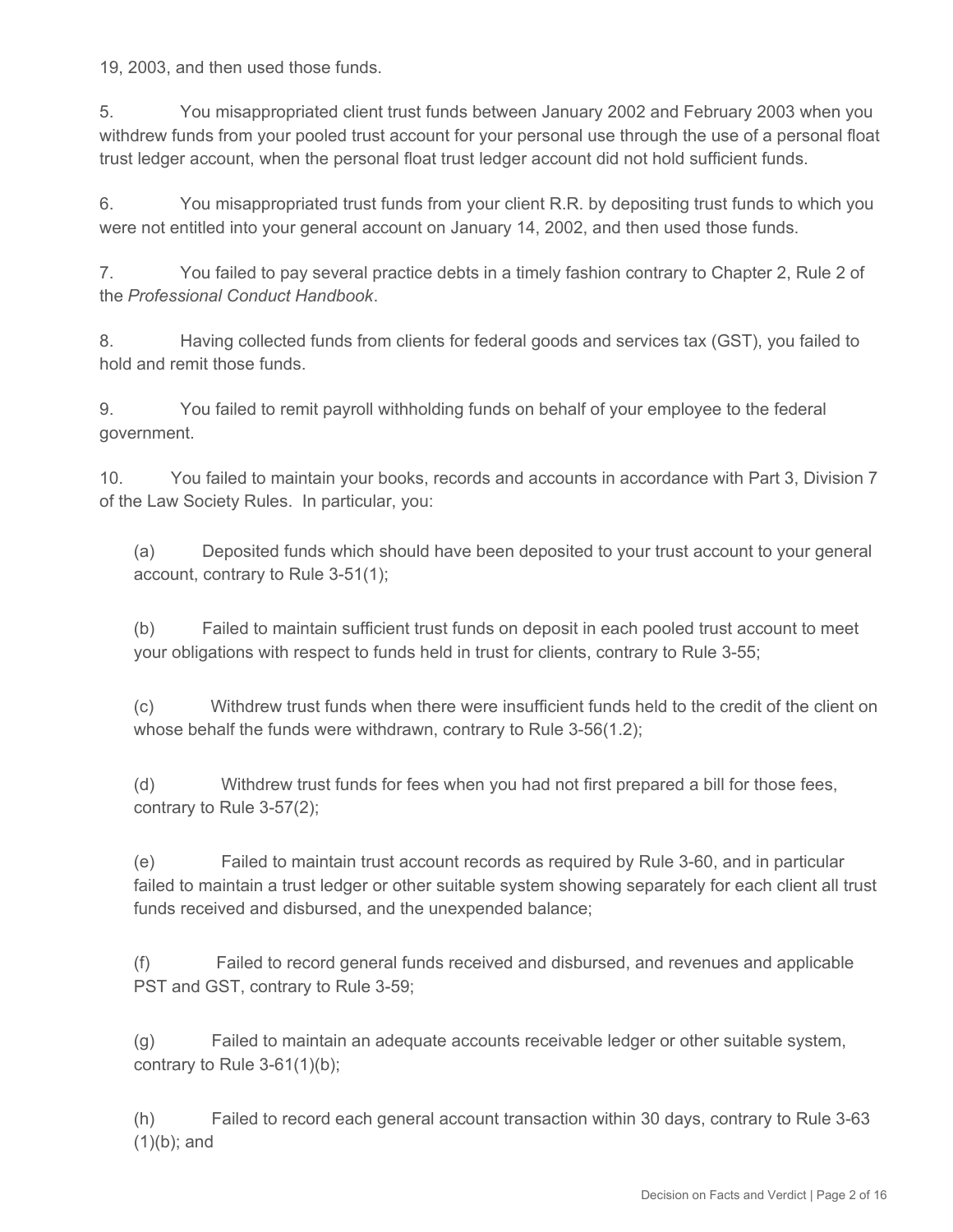19, 2003, and then used those funds.

5. You misappropriated client trust funds between January 2002 and February 2003 when you withdrew funds from your pooled trust account for your personal use through the use of a personal float trust ledger account, when the personal float trust ledger account did not hold sufficient funds.

6. You misappropriated trust funds from your client R.R. by depositing trust funds to which you were not entitled into your general account on January 14, 2002, and then used those funds.

7. You failed to pay several practice debts in a timely fashion contrary to Chapter 2, Rule 2 of the *Professional Conduct Handbook*.

8. Having collected funds from clients for federal goods and services tax (GST), you failed to hold and remit those funds.

9. You failed to remit payroll withholding funds on behalf of your employee to the federal government.

10. You failed to maintain your books, records and accounts in accordance with Part 3, Division 7 of the Law Society Rules. In particular, you:

(a) Deposited funds which should have been deposited to your trust account to your general account, contrary to Rule 3-51(1);

(b) Failed to maintain sufficient trust funds on deposit in each pooled trust account to meet your obligations with respect to funds held in trust for clients, contrary to Rule 3-55;

(c) Withdrew trust funds when there were insufficient funds held to the credit of the client on whose behalf the funds were withdrawn, contrary to Rule 3-56(1.2);

(d) Withdrew trust funds for fees when you had not first prepared a bill for those fees, contrary to Rule 3-57(2);

(e) Failed to maintain trust account records as required by Rule 3-60, and in particular failed to maintain a trust ledger or other suitable system showing separately for each client all trust funds received and disbursed, and the unexpended balance;

(f) Failed to record general funds received and disbursed, and revenues and applicable PST and GST, contrary to Rule 3-59;

(g) Failed to maintain an adequate accounts receivable ledger or other suitable system, contrary to Rule 3-61(1)(b);

(h) Failed to record each general account transaction within 30 days, contrary to Rule 3-63 (1)(b); and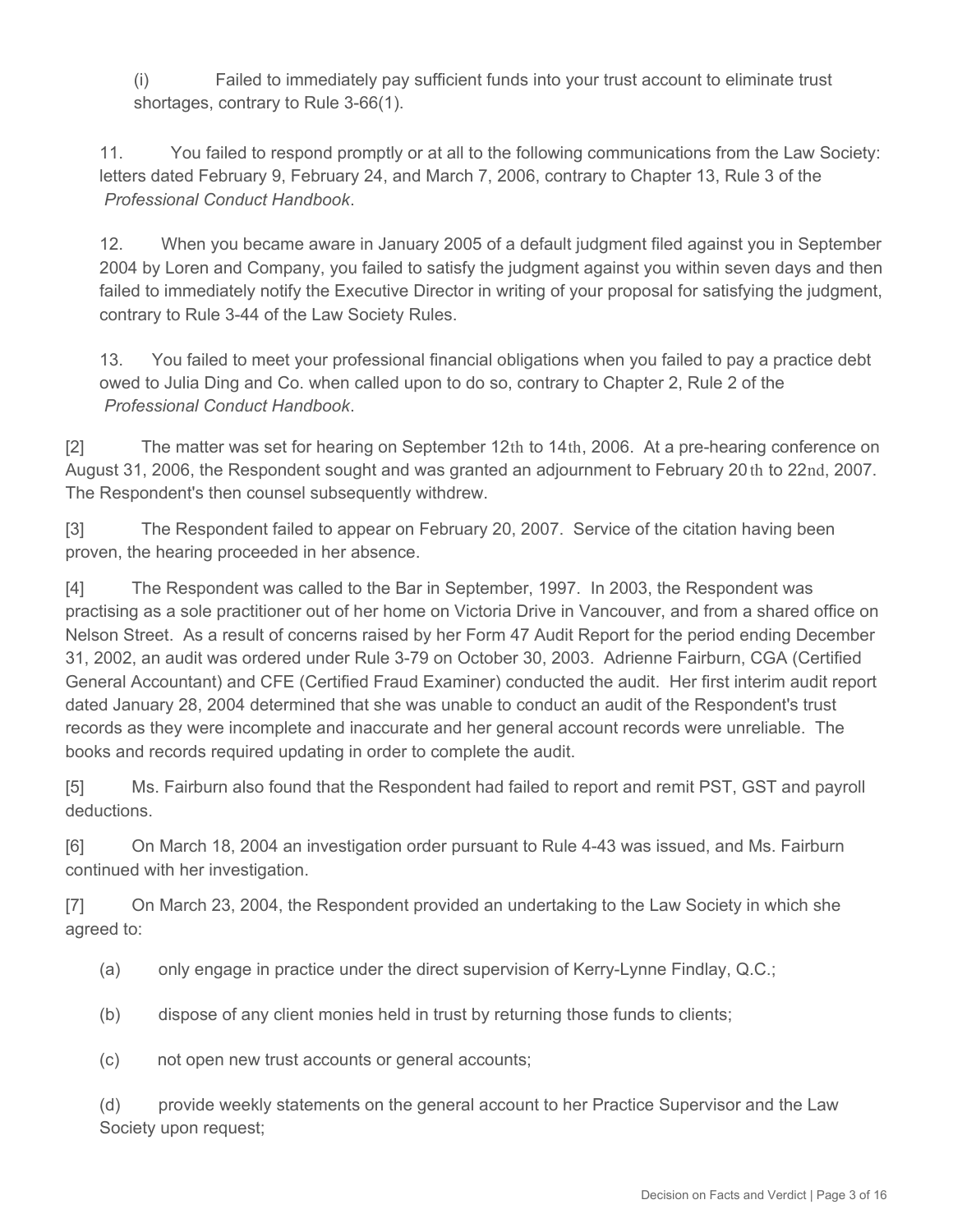(i) Failed to immediately pay sufficient funds into your trust account to eliminate trust shortages, contrary to Rule 3-66(1).

11. You failed to respond promptly or at all to the following communications from the Law Society: letters dated February 9, February 24, and March 7, 2006, contrary to Chapter 13, Rule 3 of the *Professional Conduct Handbook*.

12. When you became aware in January 2005 of a default judgment filed against you in September 2004 by Loren and Company, you failed to satisfy the judgment against you within seven days and then failed to immediately notify the Executive Director in writing of your proposal for satisfying the judgment, contrary to Rule 3-44 of the Law Society Rules.

13. You failed to meet your professional financial obligations when you failed to pay a practice debt owed to Julia Ding and Co. when called upon to do so, contrary to Chapter 2, Rule 2 of the *Professional Conduct Handbook*.

[2] The matter was set for hearing on September 12th to 14th, 2006. At a pre-hearing conference on August 31, 2006, the Respondent sought and was granted an adjournment to February 20 th to 22nd, 2007. The Respondent's then counsel subsequently withdrew.

[3] The Respondent failed to appear on February 20, 2007. Service of the citation having been proven, the hearing proceeded in her absence.

[4] The Respondent was called to the Bar in September, 1997. In 2003, the Respondent was practising as a sole practitioner out of her home on Victoria Drive in Vancouver, and from a shared office on Nelson Street. As a result of concerns raised by her Form 47 Audit Report for the period ending December 31, 2002, an audit was ordered under Rule 3-79 on October 30, 2003. Adrienne Fairburn, CGA (Certified General Accountant) and CFE (Certified Fraud Examiner) conducted the audit. Her first interim audit report dated January 28, 2004 determined that she was unable to conduct an audit of the Respondent's trust records as they were incomplete and inaccurate and her general account records were unreliable. The books and records required updating in order to complete the audit.

[5] Ms. Fairburn also found that the Respondent had failed to report and remit PST, GST and payroll deductions.

[6] On March 18, 2004 an investigation order pursuant to Rule 4-43 was issued, and Ms. Fairburn continued with her investigation.

[7] On March 23, 2004, the Respondent provided an undertaking to the Law Society in which she agreed to:

- (a) only engage in practice under the direct supervision of Kerry-Lynne Findlay, Q.C.;
- (b) dispose of any client monies held in trust by returning those funds to clients;
- (c) not open new trust accounts or general accounts;

(d) provide weekly statements on the general account to her Practice Supervisor and the Law Society upon request;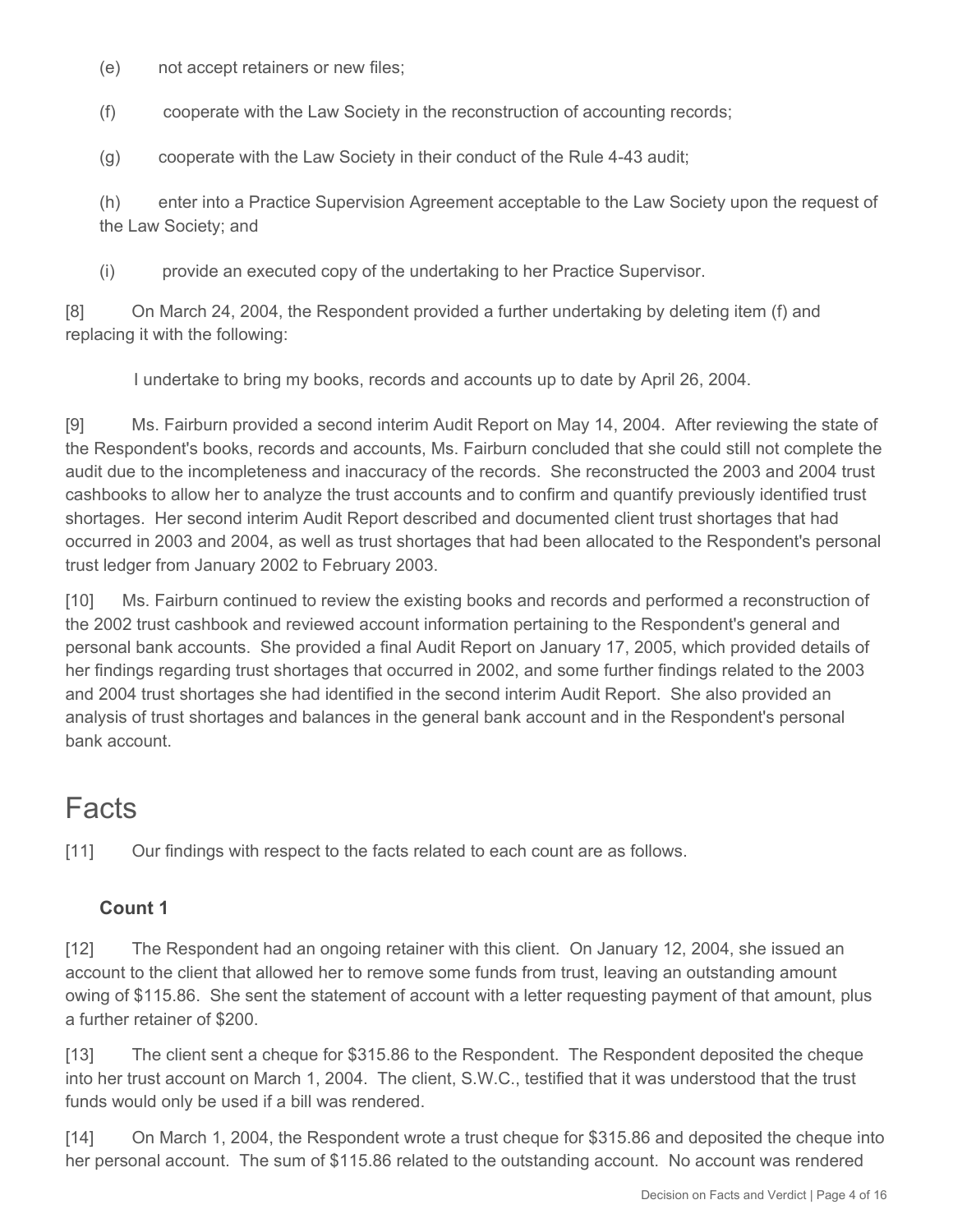(e) not accept retainers or new files;

(f) cooperate with the Law Society in the reconstruction of accounting records;

(g) cooperate with the Law Society in their conduct of the Rule 4-43 audit;

(h) enter into a Practice Supervision Agreement acceptable to the Law Society upon the request of the Law Society; and

(i) provide an executed copy of the undertaking to her Practice Supervisor.

[8] On March 24, 2004, the Respondent provided a further undertaking by deleting item (f) and replacing it with the following:

I undertake to bring my books, records and accounts up to date by April 26, 2004.

[9] Ms. Fairburn provided a second interim Audit Report on May 14, 2004. After reviewing the state of the Respondent's books, records and accounts, Ms. Fairburn concluded that she could still not complete the audit due to the incompleteness and inaccuracy of the records. She reconstructed the 2003 and 2004 trust cashbooks to allow her to analyze the trust accounts and to confirm and quantify previously identified trust shortages. Her second interim Audit Report described and documented client trust shortages that had occurred in 2003 and 2004, as well as trust shortages that had been allocated to the Respondent's personal trust ledger from January 2002 to February 2003.

[10] Ms. Fairburn continued to review the existing books and records and performed a reconstruction of the 2002 trust cashbook and reviewed account information pertaining to the Respondent's general and personal bank accounts. She provided a final Audit Report on January 17, 2005, which provided details of her findings regarding trust shortages that occurred in 2002, and some further findings related to the 2003 and 2004 trust shortages she had identified in the second interim Audit Report. She also provided an analysis of trust shortages and balances in the general bank account and in the Respondent's personal bank account.

# Facts

[11] Our findings with respect to the facts related to each count are as follows.

# **Count 1**

[12] The Respondent had an ongoing retainer with this client. On January 12, 2004, she issued an account to the client that allowed her to remove some funds from trust, leaving an outstanding amount owing of \$115.86. She sent the statement of account with a letter requesting payment of that amount, plus a further retainer of \$200.

[13] The client sent a cheque for \$315.86 to the Respondent. The Respondent deposited the cheque into her trust account on March 1, 2004. The client, S.W.C., testified that it was understood that the trust funds would only be used if a bill was rendered.

[14] On March 1, 2004, the Respondent wrote a trust cheque for \$315.86 and deposited the cheque into her personal account. The sum of \$115.86 related to the outstanding account. No account was rendered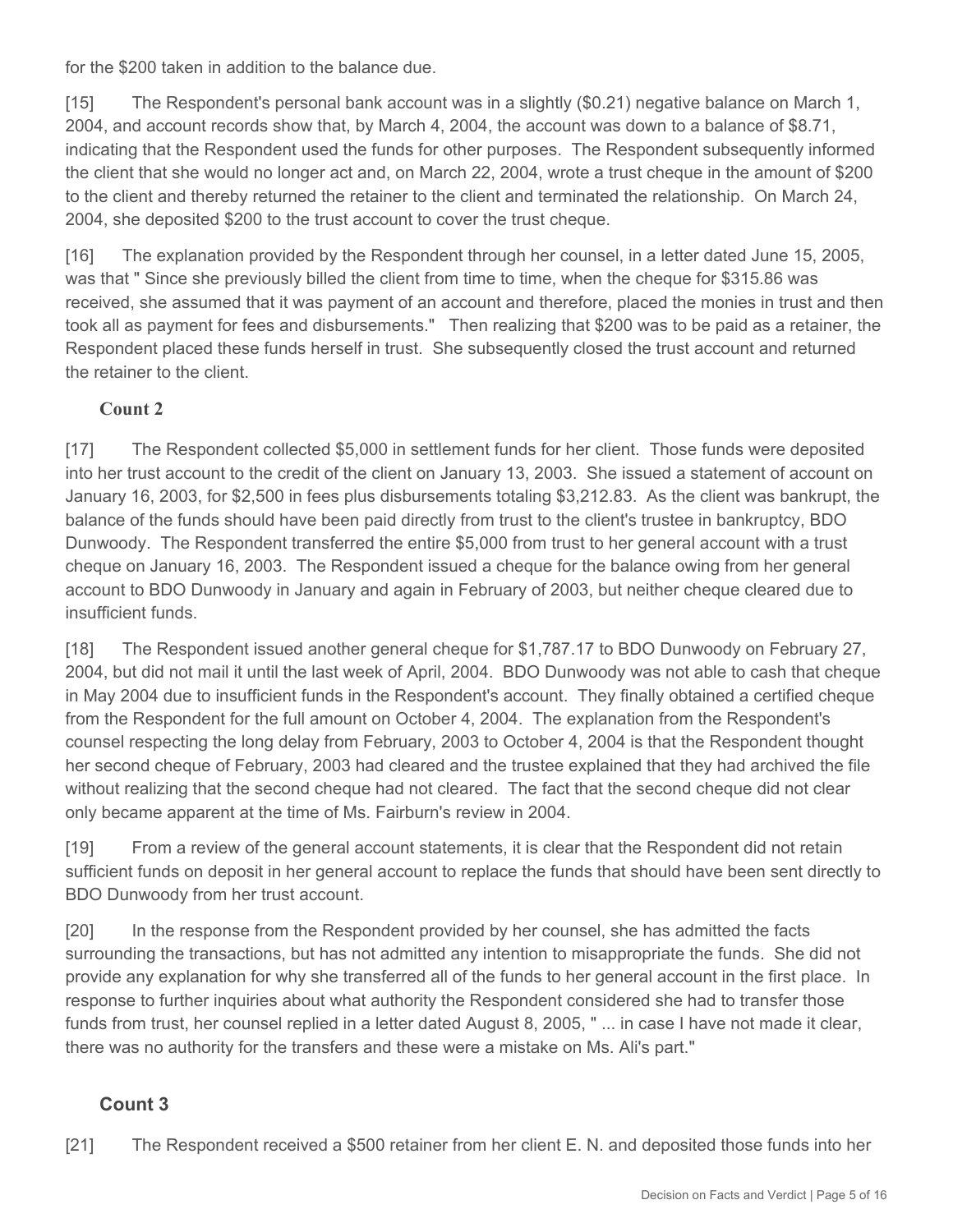for the \$200 taken in addition to the balance due.

[15] The Respondent's personal bank account was in a slightly (\$0.21) negative balance on March 1, 2004, and account records show that, by March 4, 2004, the account was down to a balance of \$8.71, indicating that the Respondent used the funds for other purposes. The Respondent subsequently informed the client that she would no longer act and, on March 22, 2004, wrote a trust cheque in the amount of \$200 to the client and thereby returned the retainer to the client and terminated the relationship. On March 24, 2004, she deposited \$200 to the trust account to cover the trust cheque.

[16] The explanation provided by the Respondent through her counsel, in a letter dated June 15, 2005, was that " Since she previously billed the client from time to time, when the cheque for \$315.86 was received, she assumed that it was payment of an account and therefore, placed the monies in trust and then took all as payment for fees and disbursements." Then realizing that \$200 was to be paid as a retainer, the Respondent placed these funds herself in trust. She subsequently closed the trust account and returned the retainer to the client.

#### **Count 2**

[17] The Respondent collected \$5,000 in settlement funds for her client. Those funds were deposited into her trust account to the credit of the client on January 13, 2003. She issued a statement of account on January 16, 2003, for \$2,500 in fees plus disbursements totaling \$3,212.83. As the client was bankrupt, the balance of the funds should have been paid directly from trust to the client's trustee in bankruptcy, BDO Dunwoody. The Respondent transferred the entire \$5,000 from trust to her general account with a trust cheque on January 16, 2003. The Respondent issued a cheque for the balance owing from her general account to BDO Dunwoody in January and again in February of 2003, but neither cheque cleared due to insufficient funds.

[18] The Respondent issued another general cheque for \$1,787.17 to BDO Dunwoody on February 27, 2004, but did not mail it until the last week of April, 2004. BDO Dunwoody was not able to cash that cheque in May 2004 due to insufficient funds in the Respondent's account. They finally obtained a certified cheque from the Respondent for the full amount on October 4, 2004. The explanation from the Respondent's counsel respecting the long delay from February, 2003 to October 4, 2004 is that the Respondent thought her second cheque of February, 2003 had cleared and the trustee explained that they had archived the file without realizing that the second cheque had not cleared. The fact that the second cheque did not clear only became apparent at the time of Ms. Fairburn's review in 2004.

[19] From a review of the general account statements, it is clear that the Respondent did not retain sufficient funds on deposit in her general account to replace the funds that should have been sent directly to BDO Dunwoody from her trust account.

[20] In the response from the Respondent provided by her counsel, she has admitted the facts surrounding the transactions, but has not admitted any intention to misappropriate the funds. She did not provide any explanation for why she transferred all of the funds to her general account in the first place. In response to further inquiries about what authority the Respondent considered she had to transfer those funds from trust, her counsel replied in a letter dated August 8, 2005, " ... in case I have not made it clear, there was no authority for the transfers and these were a mistake on Ms. Ali's part."

# **Count 3**

[21] The Respondent received a \$500 retainer from her client E. N. and deposited those funds into her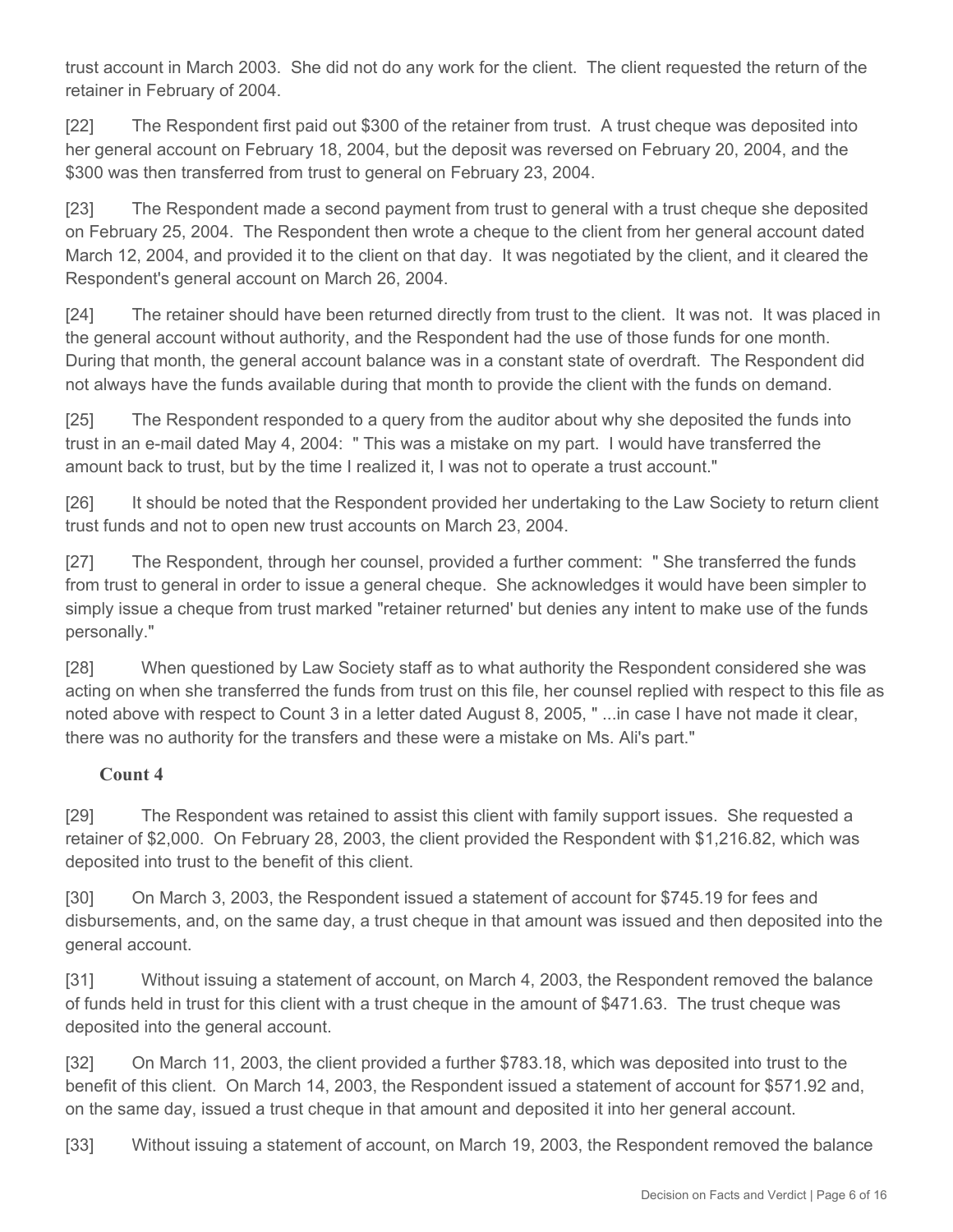trust account in March 2003. She did not do any work for the client. The client requested the return of the retainer in February of 2004.

[22] The Respondent first paid out \$300 of the retainer from trust. A trust cheque was deposited into her general account on February 18, 2004, but the deposit was reversed on February 20, 2004, and the \$300 was then transferred from trust to general on February 23, 2004.

[23] The Respondent made a second payment from trust to general with a trust cheque she deposited on February 25, 2004. The Respondent then wrote a cheque to the client from her general account dated March 12, 2004, and provided it to the client on that day. It was negotiated by the client, and it cleared the Respondent's general account on March 26, 2004.

[24] The retainer should have been returned directly from trust to the client. It was not. It was placed in the general account without authority, and the Respondent had the use of those funds for one month. During that month, the general account balance was in a constant state of overdraft. The Respondent did not always have the funds available during that month to provide the client with the funds on demand.

[25] The Respondent responded to a query from the auditor about why she deposited the funds into trust in an e-mail dated May 4, 2004: " This was a mistake on my part. I would have transferred the amount back to trust, but by the time I realized it, I was not to operate a trust account."

[26] It should be noted that the Respondent provided her undertaking to the Law Society to return client trust funds and not to open new trust accounts on March 23, 2004.

[27] The Respondent, through her counsel, provided a further comment: " She transferred the funds from trust to general in order to issue a general cheque. She acknowledges it would have been simpler to simply issue a cheque from trust marked "retainer returned' but denies any intent to make use of the funds personally."

[28] When questioned by Law Society staff as to what authority the Respondent considered she was acting on when she transferred the funds from trust on this file, her counsel replied with respect to this file as noted above with respect to Count 3 in a letter dated August 8, 2005, " ...in case I have not made it clear, there was no authority for the transfers and these were a mistake on Ms. Ali's part."

#### **Count 4**

[29] The Respondent was retained to assist this client with family support issues. She requested a retainer of \$2,000. On February 28, 2003, the client provided the Respondent with \$1,216.82, which was deposited into trust to the benefit of this client.

[30] On March 3, 2003, the Respondent issued a statement of account for \$745.19 for fees and disbursements, and, on the same day, a trust cheque in that amount was issued and then deposited into the general account.

[31] Without issuing a statement of account, on March 4, 2003, the Respondent removed the balance of funds held in trust for this client with a trust cheque in the amount of \$471.63. The trust cheque was deposited into the general account.

[32] On March 11, 2003, the client provided a further \$783.18, which was deposited into trust to the benefit of this client. On March 14, 2003, the Respondent issued a statement of account for \$571.92 and, on the same day, issued a trust cheque in that amount and deposited it into her general account.

[33] Without issuing a statement of account, on March 19, 2003, the Respondent removed the balance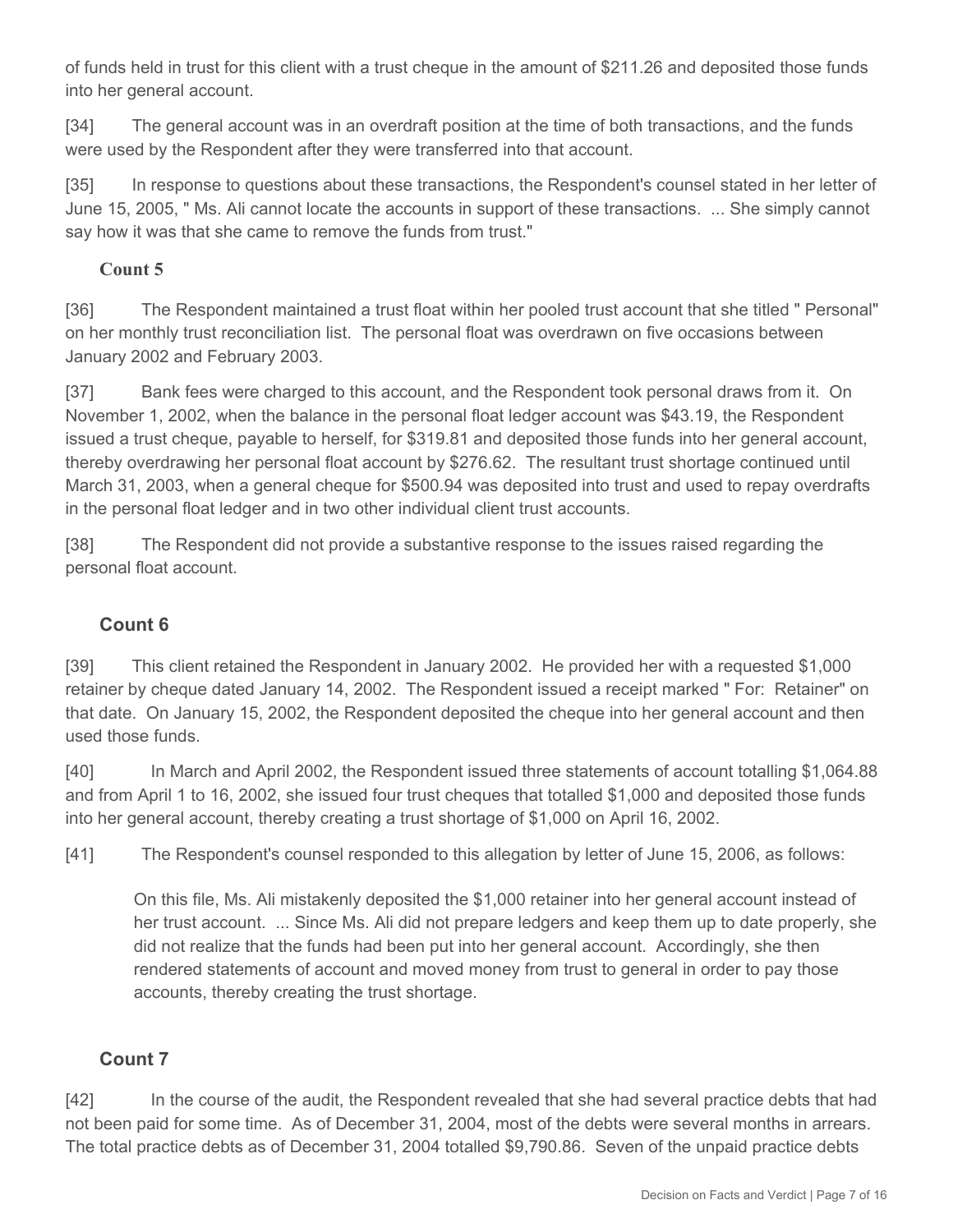of funds held in trust for this client with a trust cheque in the amount of \$211.26 and deposited those funds into her general account.

[34] The general account was in an overdraft position at the time of both transactions, and the funds were used by the Respondent after they were transferred into that account.

[35] In response to questions about these transactions, the Respondent's counsel stated in her letter of June 15, 2005, " Ms. Ali cannot locate the accounts in support of these transactions. ... She simply cannot say how it was that she came to remove the funds from trust."

### **Count 5**

[36] The Respondent maintained a trust float within her pooled trust account that she titled " Personal" on her monthly trust reconciliation list. The personal float was overdrawn on five occasions between January 2002 and February 2003.

[37] Bank fees were charged to this account, and the Respondent took personal draws from it. On November 1, 2002, when the balance in the personal float ledger account was \$43.19, the Respondent issued a trust cheque, payable to herself, for \$319.81 and deposited those funds into her general account, thereby overdrawing her personal float account by \$276.62. The resultant trust shortage continued until March 31, 2003, when a general cheque for \$500.94 was deposited into trust and used to repay overdrafts in the personal float ledger and in two other individual client trust accounts.

[38] The Respondent did not provide a substantive response to the issues raised regarding the personal float account.

# **Count 6**

[39] This client retained the Respondent in January 2002. He provided her with a requested \$1,000 retainer by cheque dated January 14, 2002. The Respondent issued a receipt marked " For: Retainer" on that date. On January 15, 2002, the Respondent deposited the cheque into her general account and then used those funds.

[40] In March and April 2002, the Respondent issued three statements of account totalling \$1,064.88 and from April 1 to 16, 2002, she issued four trust cheques that totalled \$1,000 and deposited those funds into her general account, thereby creating a trust shortage of \$1,000 on April 16, 2002.

[41] The Respondent's counsel responded to this allegation by letter of June 15, 2006, as follows:

On this file, Ms. Ali mistakenly deposited the \$1,000 retainer into her general account instead of her trust account. ... Since Ms. Ali did not prepare ledgers and keep them up to date properly, she did not realize that the funds had been put into her general account. Accordingly, she then rendered statements of account and moved money from trust to general in order to pay those accounts, thereby creating the trust shortage.

# **Count 7**

[42] In the course of the audit, the Respondent revealed that she had several practice debts that had not been paid for some time. As of December 31, 2004, most of the debts were several months in arrears. The total practice debts as of December 31, 2004 totalled \$9,790.86. Seven of the unpaid practice debts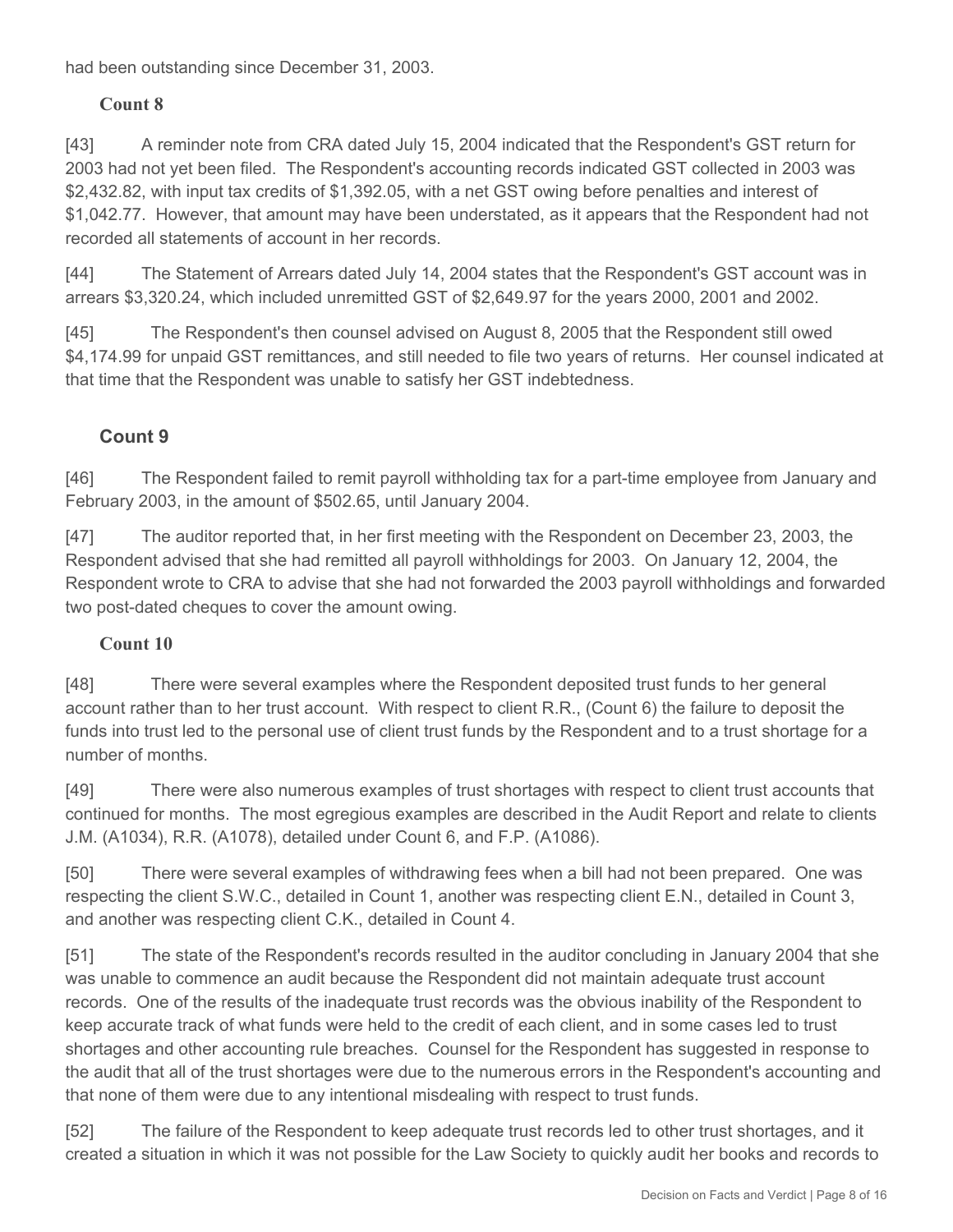had been outstanding since December 31, 2003.

## **Count 8**

[43] A reminder note from CRA dated July 15, 2004 indicated that the Respondent's GST return for 2003 had not yet been filed. The Respondent's accounting records indicated GST collected in 2003 was \$2,432.82, with input tax credits of \$1,392.05, with a net GST owing before penalties and interest of \$1,042.77. However, that amount may have been understated, as it appears that the Respondent had not recorded all statements of account in her records.

[44] The Statement of Arrears dated July 14, 2004 states that the Respondent's GST account was in arrears \$3,320.24, which included unremitted GST of \$2,649.97 for the years 2000, 2001 and 2002.

[45] The Respondent's then counsel advised on August 8, 2005 that the Respondent still owed \$4,174.99 for unpaid GST remittances, and still needed to file two years of returns. Her counsel indicated at that time that the Respondent was unable to satisfy her GST indebtedness.

# **Count 9**

[46] The Respondent failed to remit payroll withholding tax for a part-time employee from January and February 2003, in the amount of \$502.65, until January 2004.

[47] The auditor reported that, in her first meeting with the Respondent on December 23, 2003, the Respondent advised that she had remitted all payroll withholdings for 2003. On January 12, 2004, the Respondent wrote to CRA to advise that she had not forwarded the 2003 payroll withholdings and forwarded two post-dated cheques to cover the amount owing.

#### **Count 10**

[48] There were several examples where the Respondent deposited trust funds to her general account rather than to her trust account. With respect to client R.R., (Count 6) the failure to deposit the funds into trust led to the personal use of client trust funds by the Respondent and to a trust shortage for a number of months.

[49] There were also numerous examples of trust shortages with respect to client trust accounts that continued for months. The most egregious examples are described in the Audit Report and relate to clients J.M. (A1034), R.R. (A1078), detailed under Count 6, and F.P. (A1086).

[50] There were several examples of withdrawing fees when a bill had not been prepared. One was respecting the client S.W.C., detailed in Count 1, another was respecting client E.N., detailed in Count 3, and another was respecting client C.K., detailed in Count 4.

[51] The state of the Respondent's records resulted in the auditor concluding in January 2004 that she was unable to commence an audit because the Respondent did not maintain adequate trust account records. One of the results of the inadequate trust records was the obvious inability of the Respondent to keep accurate track of what funds were held to the credit of each client, and in some cases led to trust shortages and other accounting rule breaches. Counsel for the Respondent has suggested in response to the audit that all of the trust shortages were due to the numerous errors in the Respondent's accounting and that none of them were due to any intentional misdealing with respect to trust funds.

[52] The failure of the Respondent to keep adequate trust records led to other trust shortages, and it created a situation in which it was not possible for the Law Society to quickly audit her books and records to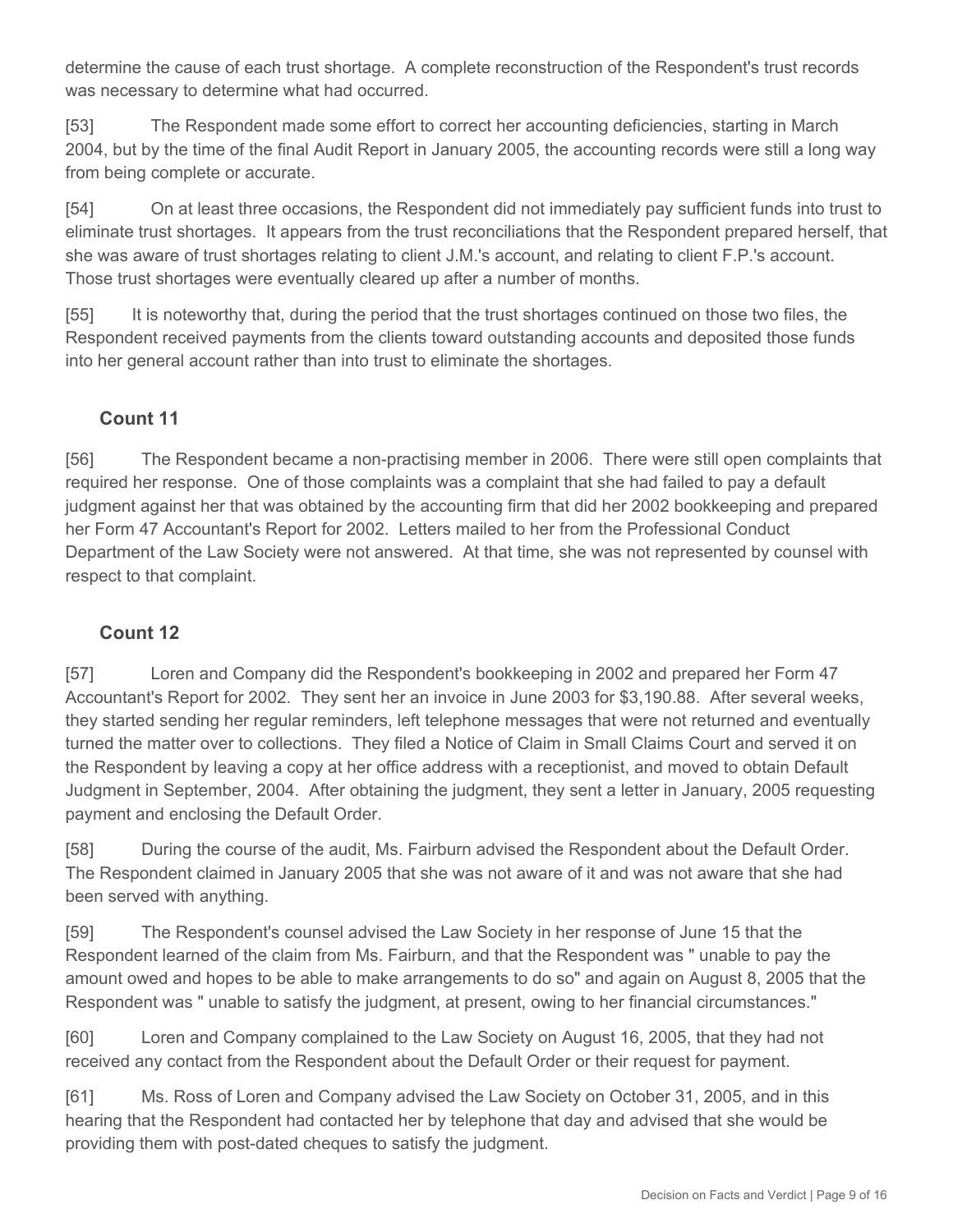determine the cause of each trust shortage. A complete reconstruction of the Respondent's trust records was necessary to determine what had occurred.

[53] The Respondent made some effort to correct her accounting deficiencies, starting in March 2004, but by the time of the final Audit Report in January 2005, the accounting records were still a long way from being complete or accurate.

[54] On at least three occasions, the Respondent did not immediately pay sufficient funds into trust to eliminate trust shortages. It appears from the trust reconciliations that the Respondent prepared herself, that she was aware of trust shortages relating to client J.M.'s account, and relating to client F.P.'s account. Those trust shortages were eventually cleared up after a number of months.

[55] It is noteworthy that, during the period that the trust shortages continued on those two files, the Respondent received payments from the clients toward outstanding accounts and deposited those funds into her general account rather than into trust to eliminate the shortages.

#### **Count 11**

[56] The Respondent became a non-practising member in 2006. There were still open complaints that required her response. One of those complaints was a complaint that she had failed to pay a default judgment against her that was obtained by the accounting firm that did her 2002 bookkeeping and prepared her Form 47 Accountant's Report for 2002. Letters mailed to her from the Professional Conduct Department of the Law Society were not answered. At that time, she was not represented by counsel with respect to that complaint.

#### **Count 12**

[57] Loren and Company did the Respondent's bookkeeping in 2002 and prepared her Form 47 Accountant's Report for 2002. They sent her an invoice in June 2003 for \$3,190.88. After several weeks, they started sending her regular reminders, left telephone messages that were not returned and eventually turned the matter over to collections. They filed a Notice of Claim in Small Claims Court and served it on the Respondent by leaving a copy at her office address with a receptionist, and moved to obtain Default Judgment in September, 2004. After obtaining the judgment, they sent a letter in January, 2005 requesting payment and enclosing the Default Order.

[58] During the course of the audit, Ms. Fairburn advised the Respondent about the Default Order. The Respondent claimed in January 2005 that she was not aware of it and was not aware that she had been served with anything.

[59] The Respondent's counsel advised the Law Society in her response of June 15 that the Respondent learned of the claim from Ms. Fairburn, and that the Respondent was " unable to pay the amount owed and hopes to be able to make arrangements to do so" and again on August 8, 2005 that the Respondent was " unable to satisfy the judgment, at present, owing to her financial circumstances."

[60] Loren and Company complained to the Law Society on August 16, 2005, that they had not received any contact from the Respondent about the Default Order or their request for payment.

[61] Ms. Ross of Loren and Company advised the Law Society on October 31, 2005, and in this hearing that the Respondent had contacted her by telephone that day and advised that she would be providing them with post-dated cheques to satisfy the judgment.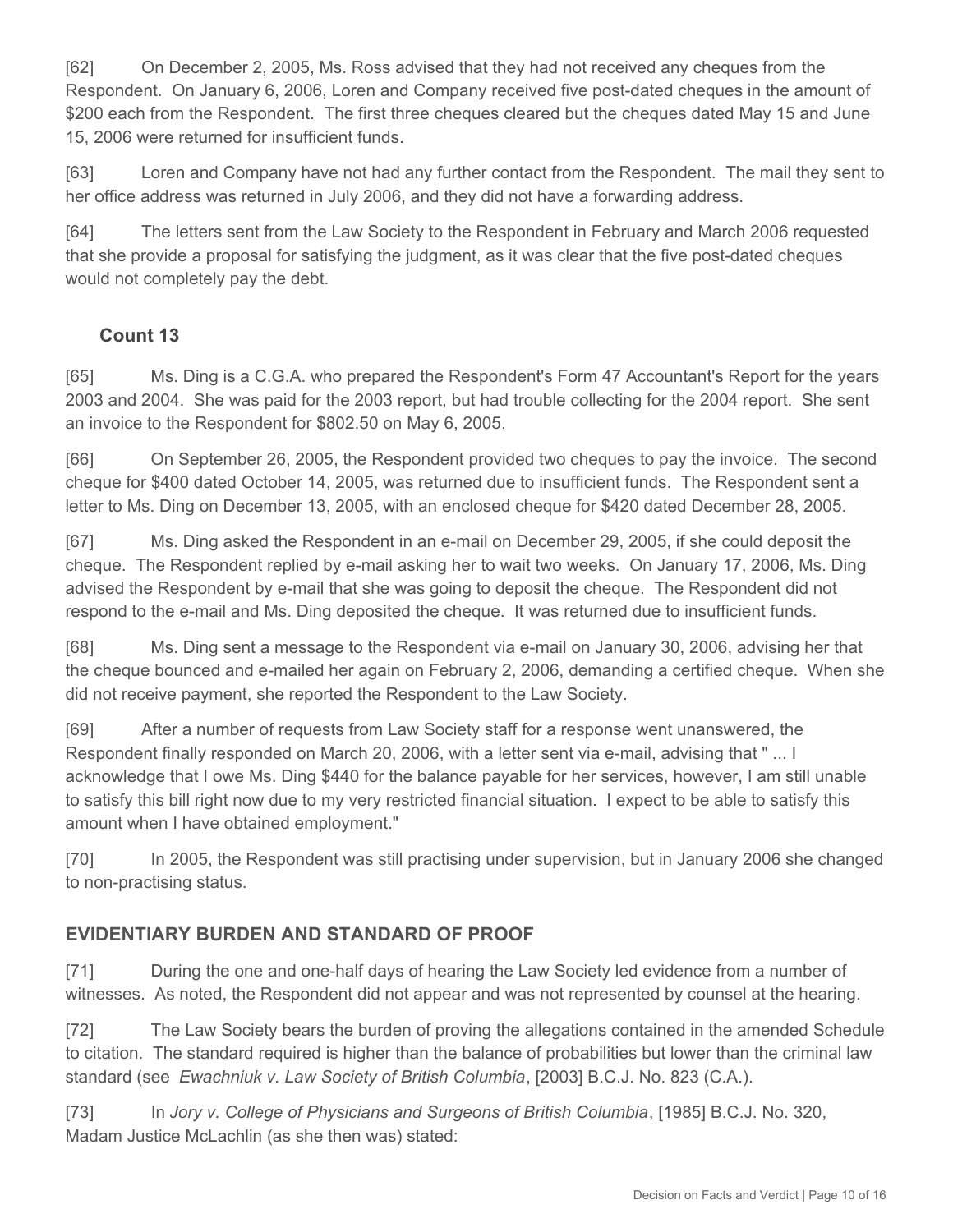[62] On December 2, 2005, Ms. Ross advised that they had not received any cheques from the Respondent. On January 6, 2006, Loren and Company received five post-dated cheques in the amount of \$200 each from the Respondent. The first three cheques cleared but the cheques dated May 15 and June 15, 2006 were returned for insufficient funds.

[63] Loren and Company have not had any further contact from the Respondent. The mail they sent to her office address was returned in July 2006, and they did not have a forwarding address.

[64] The letters sent from the Law Society to the Respondent in February and March 2006 requested that she provide a proposal for satisfying the judgment, as it was clear that the five post-dated cheques would not completely pay the debt.

# **Count 13**

[65] Ms. Ding is a C.G.A. who prepared the Respondent's Form 47 Accountant's Report for the years 2003 and 2004. She was paid for the 2003 report, but had trouble collecting for the 2004 report. She sent an invoice to the Respondent for \$802.50 on May 6, 2005.

[66] On September 26, 2005, the Respondent provided two cheques to pay the invoice. The second cheque for \$400 dated October 14, 2005, was returned due to insufficient funds. The Respondent sent a letter to Ms. Ding on December 13, 2005, with an enclosed cheque for \$420 dated December 28, 2005.

[67] Ms. Ding asked the Respondent in an e-mail on December 29, 2005, if she could deposit the cheque. The Respondent replied by e-mail asking her to wait two weeks. On January 17, 2006, Ms. Ding advised the Respondent by e-mail that she was going to deposit the cheque. The Respondent did not respond to the e-mail and Ms. Ding deposited the cheque. It was returned due to insufficient funds.

[68] Ms. Ding sent a message to the Respondent via e-mail on January 30, 2006, advising her that the cheque bounced and e-mailed her again on February 2, 2006, demanding a certified cheque. When she did not receive payment, she reported the Respondent to the Law Society.

[69] After a number of requests from Law Society staff for a response went unanswered, the Respondent finally responded on March 20, 2006, with a letter sent via e-mail, advising that " ... I acknowledge that I owe Ms. Ding \$440 for the balance payable for her services, however, I am still unable to satisfy this bill right now due to my very restricted financial situation. I expect to be able to satisfy this amount when I have obtained employment."

[70] In 2005, the Respondent was still practising under supervision, but in January 2006 she changed to non-practising status.

# **EVIDENTIARY BURDEN AND STANDARD OF PROOF**

[71] During the one and one-half days of hearing the Law Society led evidence from a number of witnesses. As noted, the Respondent did not appear and was not represented by counsel at the hearing.

[72] The Law Society bears the burden of proving the allegations contained in the amended Schedule to citation. The standard required is higher than the balance of probabilities but lower than the criminal law standard (see *Ewachniuk v. Law Society of British Columbia*, [2003] B.C.J. No. 823 (C.A.).

[73] In *Jory v. College of Physicians and Surgeons of British Columbia*, [1985] B.C.J. No. 320, Madam Justice McLachlin (as she then was) stated: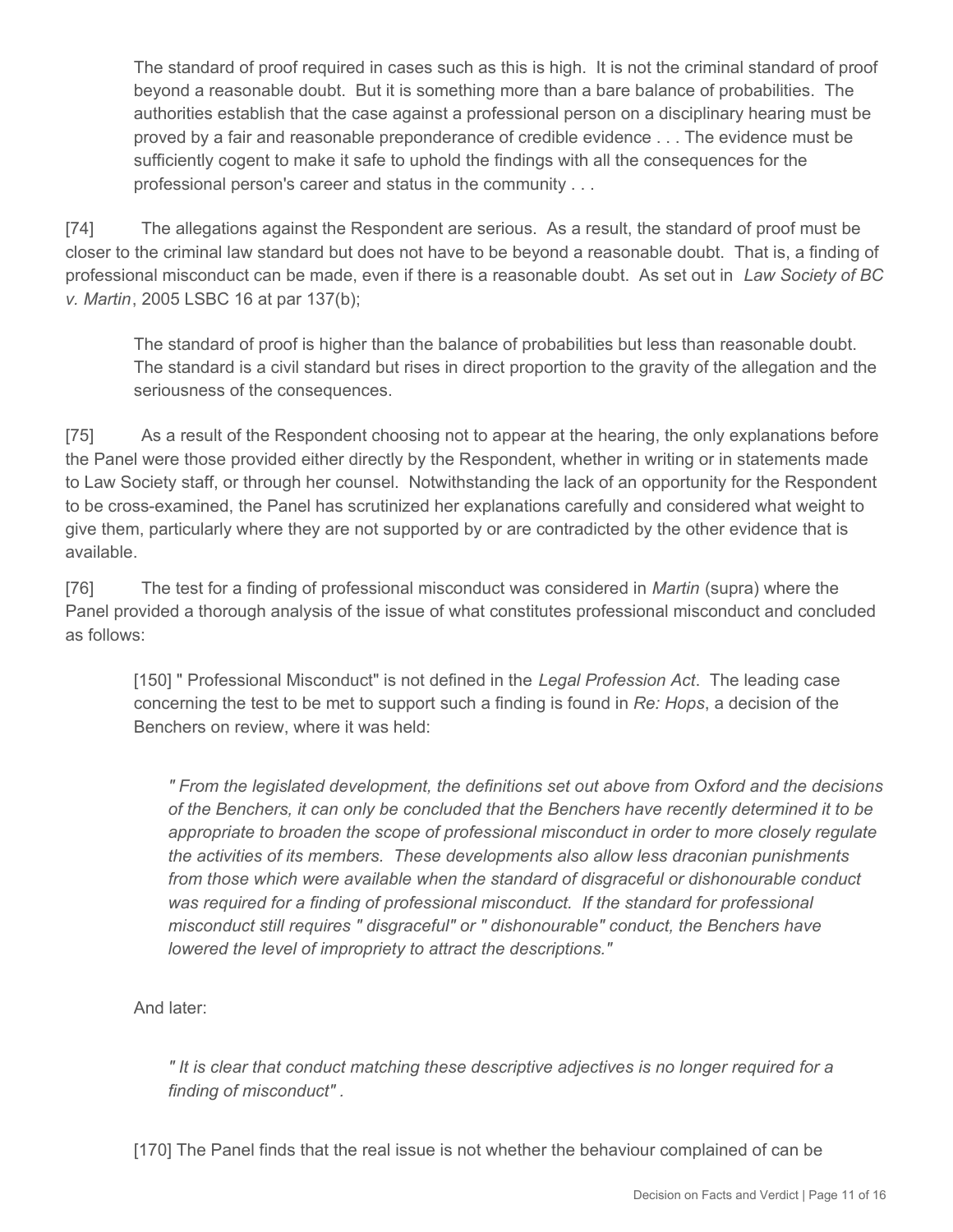The standard of proof required in cases such as this is high. It is not the criminal standard of proof beyond a reasonable doubt. But it is something more than a bare balance of probabilities. The authorities establish that the case against a professional person on a disciplinary hearing must be proved by a fair and reasonable preponderance of credible evidence . . . The evidence must be sufficiently cogent to make it safe to uphold the findings with all the consequences for the professional person's career and status in the community . . .

[74] The allegations against the Respondent are serious. As a result, the standard of proof must be closer to the criminal law standard but does not have to be beyond a reasonable doubt. That is, a finding of professional misconduct can be made, even if there is a reasonable doubt. As set out in *Law Society of BC v. Martin*, 2005 LSBC 16 at par 137(b);

The standard of proof is higher than the balance of probabilities but less than reasonable doubt. The standard is a civil standard but rises in direct proportion to the gravity of the allegation and the seriousness of the consequences.

[75] As a result of the Respondent choosing not to appear at the hearing, the only explanations before the Panel were those provided either directly by the Respondent, whether in writing or in statements made to Law Society staff, or through her counsel. Notwithstanding the lack of an opportunity for the Respondent to be cross-examined, the Panel has scrutinized her explanations carefully and considered what weight to give them, particularly where they are not supported by or are contradicted by the other evidence that is available.

[76] The test for a finding of professional misconduct was considered in *Martin* (supra) where the Panel provided a thorough analysis of the issue of what constitutes professional misconduct and concluded as follows:

[150] " Professional Misconduct" is not defined in the *Legal Profession Act*. The leading case concerning the test to be met to support such a finding is found in *Re: Hops*, a decision of the Benchers on review, where it was held:

*" From the legislated development, the definitions set out above from Oxford and the decisions of the Benchers, it can only be concluded that the Benchers have recently determined it to be appropriate to broaden the scope of professional misconduct in order to more closely regulate the activities of its members. These developments also allow less draconian punishments from those which were available when the standard of disgraceful or dishonourable conduct was required for a finding of professional misconduct. If the standard for professional misconduct still requires " disgraceful" or " dishonourable" conduct, the Benchers have lowered the level of impropriety to attract the descriptions."* 

And later:

*" It is clear that conduct matching these descriptive adjectives is no longer required for a finding of misconduct" .* 

[170] The Panel finds that the real issue is not whether the behaviour complained of can be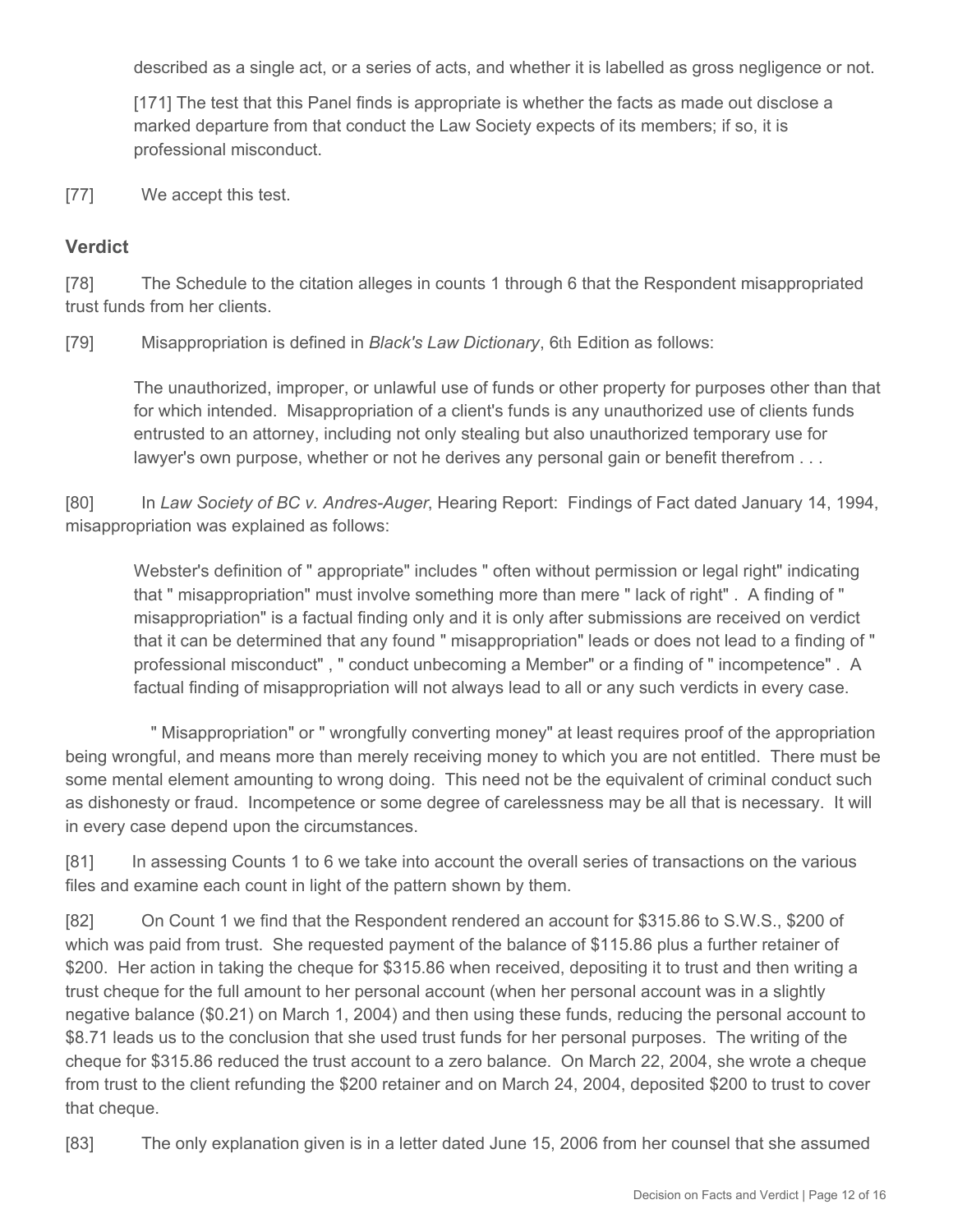described as a single act, or a series of acts, and whether it is labelled as gross negligence or not.

[171] The test that this Panel finds is appropriate is whether the facts as made out disclose a marked departure from that conduct the Law Society expects of its members; if so, it is professional misconduct.

[77] We accept this test.

#### **Verdict**

[78] The Schedule to the citation alleges in counts 1 through 6 that the Respondent misappropriated trust funds from her clients.

[79] Misappropriation is defined in *Black's Law Dictionary*, 6th Edition as follows:

The unauthorized, improper, or unlawful use of funds or other property for purposes other than that for which intended. Misappropriation of a client's funds is any unauthorized use of clients funds entrusted to an attorney, including not only stealing but also unauthorized temporary use for lawyer's own purpose, whether or not he derives any personal gain or benefit therefrom . . .

[80] In *Law Society of BC v. Andres-Auger*, Hearing Report: Findings of Fact dated January 14, 1994, misappropriation was explained as follows:

Webster's definition of " appropriate" includes " often without permission or legal right" indicating that " misappropriation" must involve something more than mere " lack of right" . A finding of " misappropriation" is a factual finding only and it is only after submissions are received on verdict that it can be determined that any found " misappropriation" leads or does not lead to a finding of " professional misconduct" , " conduct unbecoming a Member" or a finding of " incompetence" . A factual finding of misappropriation will not always lead to all or any such verdicts in every case.

 " Misappropriation" or " wrongfully converting money" at least requires proof of the appropriation being wrongful, and means more than merely receiving money to which you are not entitled. There must be some mental element amounting to wrong doing. This need not be the equivalent of criminal conduct such as dishonesty or fraud. Incompetence or some degree of carelessness may be all that is necessary. It will in every case depend upon the circumstances.

[81] In assessing Counts 1 to 6 we take into account the overall series of transactions on the various files and examine each count in light of the pattern shown by them.

[82] On Count 1 we find that the Respondent rendered an account for \$315.86 to S.W.S., \$200 of which was paid from trust. She requested payment of the balance of \$115.86 plus a further retainer of \$200. Her action in taking the cheque for \$315.86 when received, depositing it to trust and then writing a trust cheque for the full amount to her personal account (when her personal account was in a slightly negative balance (\$0.21) on March 1, 2004) and then using these funds, reducing the personal account to \$8.71 leads us to the conclusion that she used trust funds for her personal purposes. The writing of the cheque for \$315.86 reduced the trust account to a zero balance. On March 22, 2004, she wrote a cheque from trust to the client refunding the \$200 retainer and on March 24, 2004, deposited \$200 to trust to cover that cheque.

[83] The only explanation given is in a letter dated June 15, 2006 from her counsel that she assumed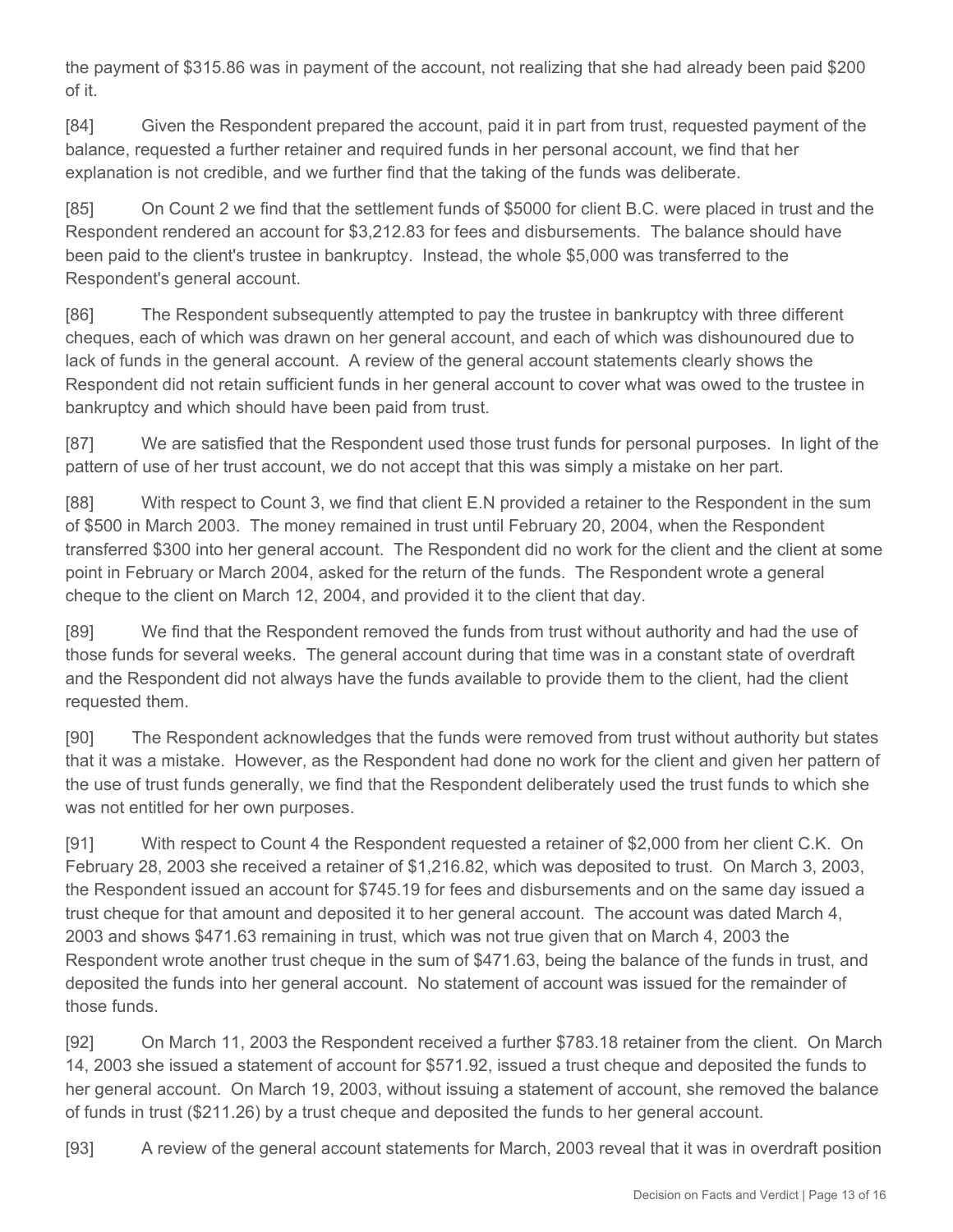the payment of \$315.86 was in payment of the account, not realizing that she had already been paid \$200 of it.

[84] Given the Respondent prepared the account, paid it in part from trust, requested payment of the balance, requested a further retainer and required funds in her personal account, we find that her explanation is not credible, and we further find that the taking of the funds was deliberate.

[85] On Count 2 we find that the settlement funds of \$5000 for client B.C. were placed in trust and the Respondent rendered an account for \$3,212.83 for fees and disbursements. The balance should have been paid to the client's trustee in bankruptcy. Instead, the whole \$5,000 was transferred to the Respondent's general account.

[86] The Respondent subsequently attempted to pay the trustee in bankruptcy with three different cheques, each of which was drawn on her general account, and each of which was dishounoured due to lack of funds in the general account. A review of the general account statements clearly shows the Respondent did not retain sufficient funds in her general account to cover what was owed to the trustee in bankruptcy and which should have been paid from trust.

[87] We are satisfied that the Respondent used those trust funds for personal purposes. In light of the pattern of use of her trust account, we do not accept that this was simply a mistake on her part.

[88] With respect to Count 3, we find that client E.N provided a retainer to the Respondent in the sum of \$500 in March 2003. The money remained in trust until February 20, 2004, when the Respondent transferred \$300 into her general account. The Respondent did no work for the client and the client at some point in February or March 2004, asked for the return of the funds. The Respondent wrote a general cheque to the client on March 12, 2004, and provided it to the client that day.

[89] We find that the Respondent removed the funds from trust without authority and had the use of those funds for several weeks. The general account during that time was in a constant state of overdraft and the Respondent did not always have the funds available to provide them to the client, had the client requested them.

[90] The Respondent acknowledges that the funds were removed from trust without authority but states that it was a mistake. However, as the Respondent had done no work for the client and given her pattern of the use of trust funds generally, we find that the Respondent deliberately used the trust funds to which she was not entitled for her own purposes.

[91] With respect to Count 4 the Respondent requested a retainer of \$2,000 from her client C.K. On February 28, 2003 she received a retainer of \$1,216.82, which was deposited to trust. On March 3, 2003, the Respondent issued an account for \$745.19 for fees and disbursements and on the same day issued a trust cheque for that amount and deposited it to her general account. The account was dated March 4, 2003 and shows \$471.63 remaining in trust, which was not true given that on March 4, 2003 the Respondent wrote another trust cheque in the sum of \$471.63, being the balance of the funds in trust, and deposited the funds into her general account. No statement of account was issued for the remainder of those funds.

[92] On March 11, 2003 the Respondent received a further \$783.18 retainer from the client. On March 14, 2003 she issued a statement of account for \$571.92, issued a trust cheque and deposited the funds to her general account. On March 19, 2003, without issuing a statement of account, she removed the balance of funds in trust (\$211.26) by a trust cheque and deposited the funds to her general account.

[93] A review of the general account statements for March, 2003 reveal that it was in overdraft position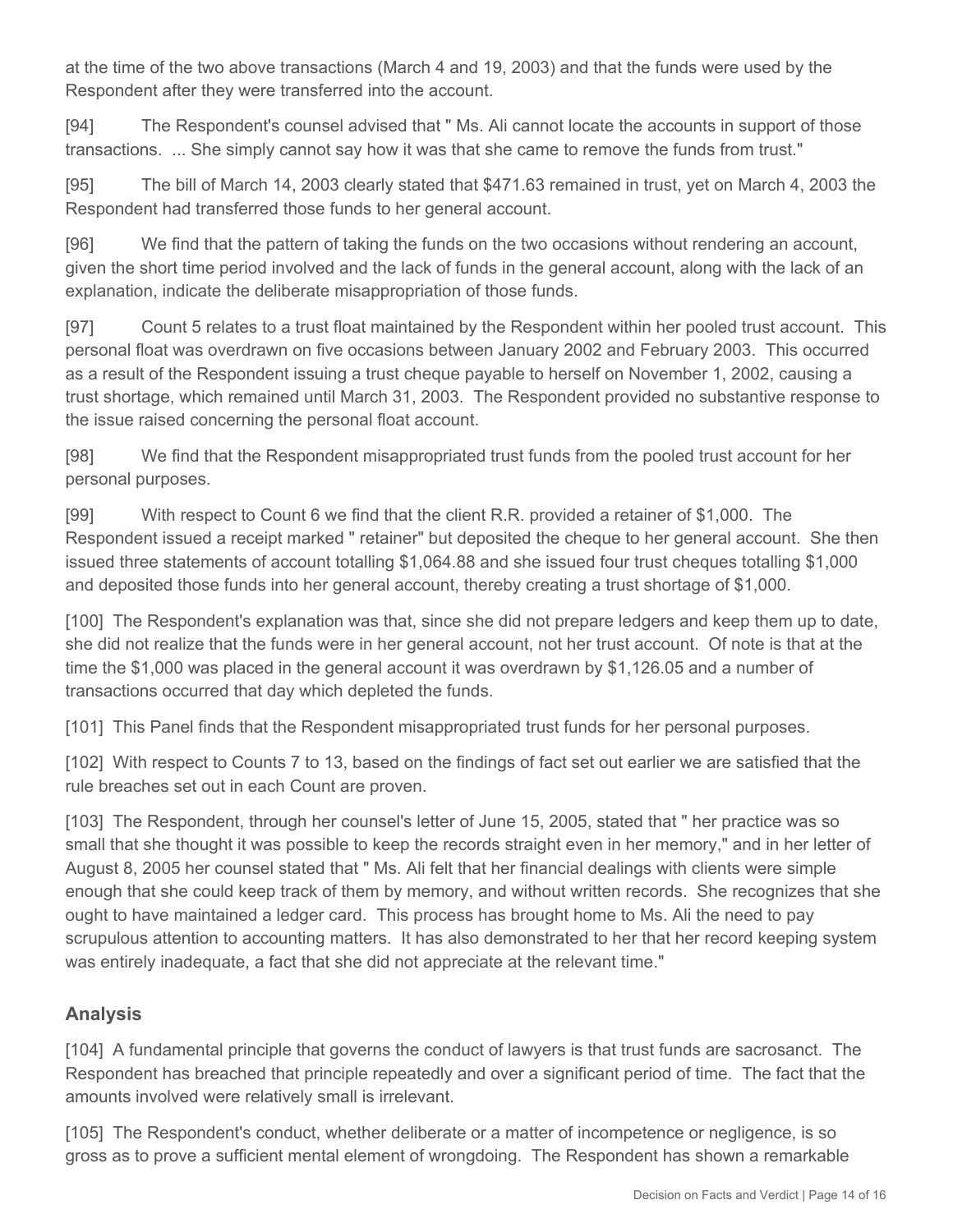at the time of the two above transactions (March 4 and 19, 2003) and that the funds were used by the Respondent after they were transferred into the account.

[94] The Respondent's counsel advised that " Ms. Ali cannot locate the accounts in support of those transactions. ... She simply cannot say how it was that she came to remove the funds from trust."

[95] The bill of March 14, 2003 clearly stated that \$471.63 remained in trust, yet on March 4, 2003 the Respondent had transferred those funds to her general account.

[96] We find that the pattern of taking the funds on the two occasions without rendering an account, given the short time period involved and the lack of funds in the general account, along with the lack of an explanation, indicate the deliberate misappropriation of those funds.

[97] Count 5 relates to a trust float maintained by the Respondent within her pooled trust account. This personal float was overdrawn on five occasions between January 2002 and February 2003. This occurred as a result of the Respondent issuing a trust cheque payable to herself on November 1, 2002, causing a trust shortage, which remained until March 31, 2003. The Respondent provided no substantive response to the issue raised concerning the personal float account.

[98] We find that the Respondent misappropriated trust funds from the pooled trust account for her personal purposes.

[99] With respect to Count 6 we find that the client R.R. provided a retainer of \$1,000. The Respondent issued a receipt marked " retainer" but deposited the cheque to her general account. She then issued three statements of account totalling \$1,064.88 and she issued four trust cheques totalling \$1,000 and deposited those funds into her general account, thereby creating a trust shortage of \$1,000.

[100] The Respondent's explanation was that, since she did not prepare ledgers and keep them up to date, she did not realize that the funds were in her general account, not her trust account. Of note is that at the time the \$1,000 was placed in the general account it was overdrawn by \$1,126.05 and a number of transactions occurred that day which depleted the funds.

[101] This Panel finds that the Respondent misappropriated trust funds for her personal purposes.

[102] With respect to Counts 7 to 13, based on the findings of fact set out earlier we are satisfied that the rule breaches set out in each Count are proven.

[103] The Respondent, through her counsel's letter of June 15, 2005, stated that " her practice was so small that she thought it was possible to keep the records straight even in her memory," and in her letter of August 8, 2005 her counsel stated that " Ms. Ali felt that her financial dealings with clients were simple enough that she could keep track of them by memory, and without written records. She recognizes that she ought to have maintained a ledger card. This process has brought home to Ms. Ali the need to pay scrupulous attention to accounting matters. It has also demonstrated to her that her record keeping system was entirely inadequate, a fact that she did not appreciate at the relevant time."

# **Analysis**

[104] A fundamental principle that governs the conduct of lawyers is that trust funds are sacrosanct. The Respondent has breached that principle repeatedly and over a significant period of time. The fact that the amounts involved were relatively small is irrelevant.

[105] The Respondent's conduct, whether deliberate or a matter of incompetence or negligence, is so gross as to prove a sufficient mental element of wrongdoing. The Respondent has shown a remarkable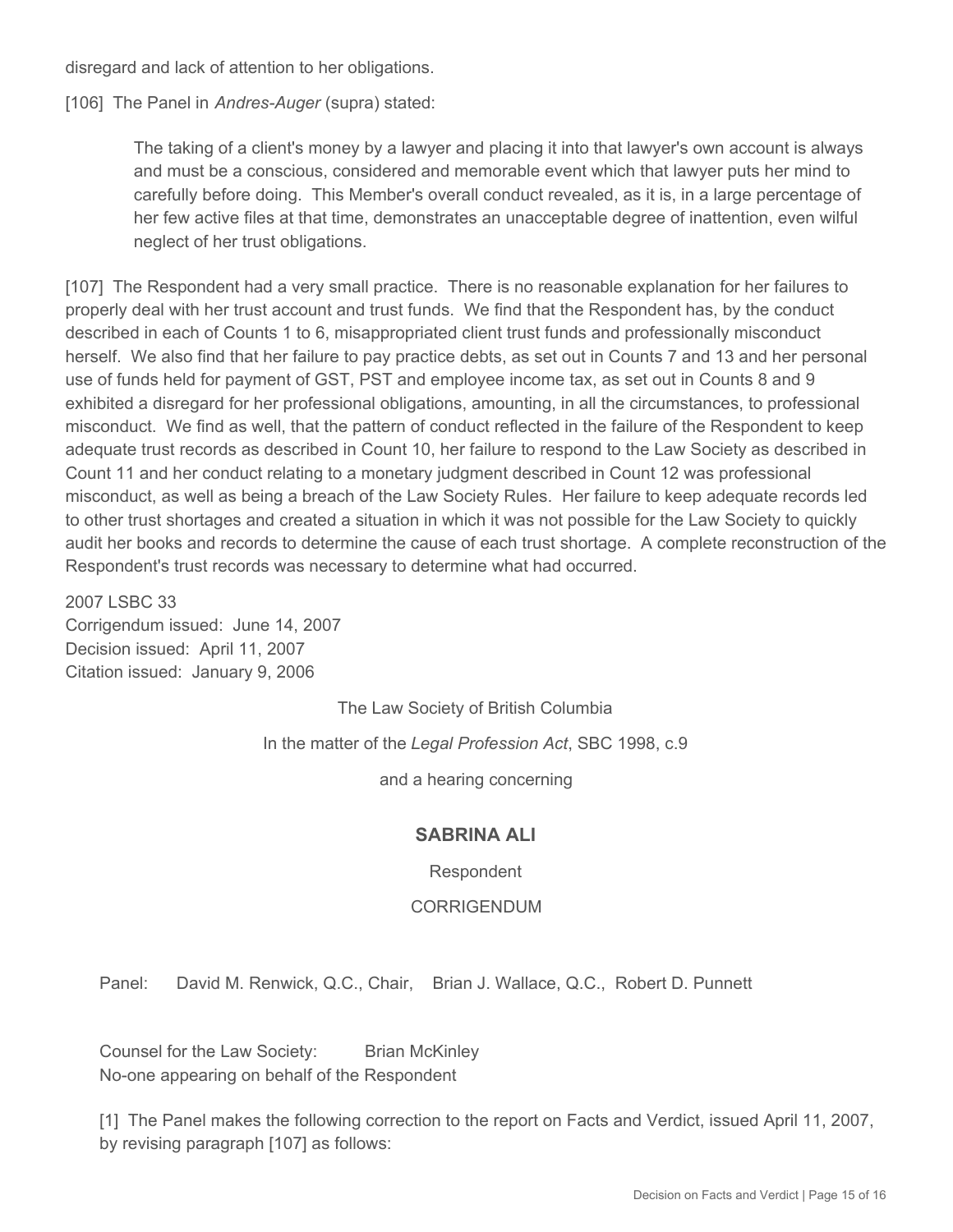disregard and lack of attention to her obligations.

[106] The Panel in *Andres-Auger* (supra) stated:

The taking of a client's money by a lawyer and placing it into that lawyer's own account is always and must be a conscious, considered and memorable event which that lawyer puts her mind to carefully before doing. This Member's overall conduct revealed, as it is, in a large percentage of her few active files at that time, demonstrates an unacceptable degree of inattention, even wilful neglect of her trust obligations.

[107] The Respondent had a very small practice. There is no reasonable explanation for her failures to properly deal with her trust account and trust funds. We find that the Respondent has, by the conduct described in each of Counts 1 to 6, misappropriated client trust funds and professionally misconduct herself. We also find that her failure to pay practice debts, as set out in Counts 7 and 13 and her personal use of funds held for payment of GST, PST and employee income tax, as set out in Counts 8 and 9 exhibited a disregard for her professional obligations, amounting, in all the circumstances, to professional misconduct. We find as well, that the pattern of conduct reflected in the failure of the Respondent to keep adequate trust records as described in Count 10, her failure to respond to the Law Society as described in Count 11 and her conduct relating to a monetary judgment described in Count 12 was professional misconduct, as well as being a breach of the Law Society Rules. Her failure to keep adequate records led to other trust shortages and created a situation in which it was not possible for the Law Society to quickly audit her books and records to determine the cause of each trust shortage. A complete reconstruction of the Respondent's trust records was necessary to determine what had occurred.

2007 LSBC 33 Corrigendum issued: June 14, 2007 Decision issued: April 11, 2007

Citation issued: January 9, 2006

The Law Society of British Columbia

In the matter of the *Legal Profession Act*, SBC 1998, c.9

and a hearing concerning

#### **SABRINA ALI**

#### Respondent

#### CORRIGENDUM

Panel: David M. Renwick, Q.C., Chair, Brian J. Wallace, Q.C., Robert D. Punnett

Counsel for the Law Society: Brian McKinley No-one appearing on behalf of the Respondent

[1] The Panel makes the following correction to the report on Facts and Verdict, issued April 11, 2007, by revising paragraph [107] as follows: